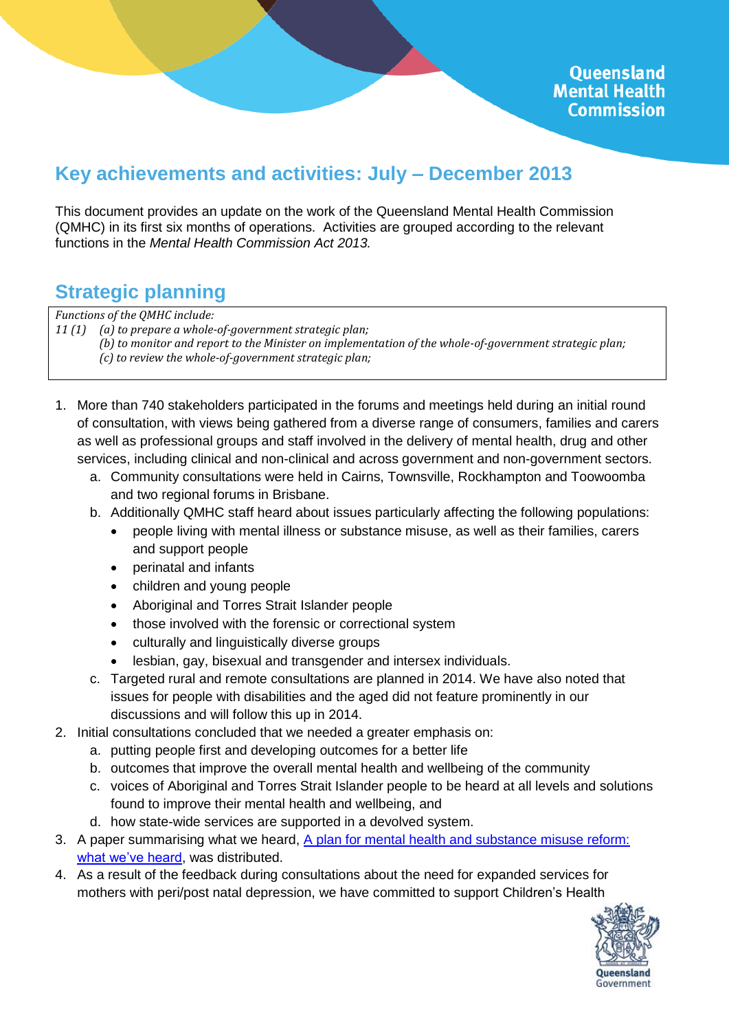# **Key achievements and activities: July – December 2013**

This document provides an update on the work of the Queensland Mental Health Commission (QMHC) in its first six months of operations. Activities are grouped according to the relevant functions in the *Mental Health Commission Act 2013.*

# **Strategic planning**

*Functions of the QMHC include:*

*11 (1) (a) to prepare a whole-of-government strategic plan;*

*(b) to monitor and report to the Minister on implementation of the whole-of-government strategic plan;*

*(c) to review the whole-of-government strategic plan;*

- 1. More than 740 stakeholders participated in the forums and meetings held during an initial round of consultation, with views being gathered from a diverse range of consumers, families and carers as well as professional groups and staff involved in the delivery of mental health, drug and other services, including clinical and non-clinical and across government and non-government sectors.
	- a. Community consultations were held in Cairns, Townsville, Rockhampton and Toowoomba and two regional forums in Brisbane.
	- b. Additionally QMHC staff heard about issues particularly affecting the following populations:
		- people living with mental illness or substance misuse, as well as their families, carers and support people
		- perinatal and infants
		- children and young people
		- Aboriginal and Torres Strait Islander people
		- those involved with the forensic or correctional system
		- culturally and linguistically diverse groups
		- lesbian, gay, bisexual and transgender and intersex individuals.
	- c. Targeted rural and remote consultations are planned in 2014. We have also noted that issues for people with disabilities and the aged did not feature prominently in our discussions and will follow this up in 2014.
- 2. Initial consultations concluded that we needed a greater emphasis on:
	- a. putting people first and developing outcomes for a better life
	- b. outcomes that improve the overall mental health and wellbeing of the community
	- c. voices of Aboriginal and Torres Strait Islander people to be heard at all levels and solutions found to improve their mental health and wellbeing, and
	- d. how state-wide services are supported in a devolved system.
- 3. A paper summarising what we heard, [A plan for mental health and substance misuse reform:](http://www.qmhc.qld.gov.au/wp-content/uploads/2013/08/Reflections-Paper-December-2013.pdf)  [what we've heard,](http://www.qmhc.qld.gov.au/wp-content/uploads/2013/08/Reflections-Paper-December-2013.pdf) was distributed.
- 4. As a result of the feedback during consultations about the need for expanded services for mothers with peri/post natal depression, we have committed to support Children's Health

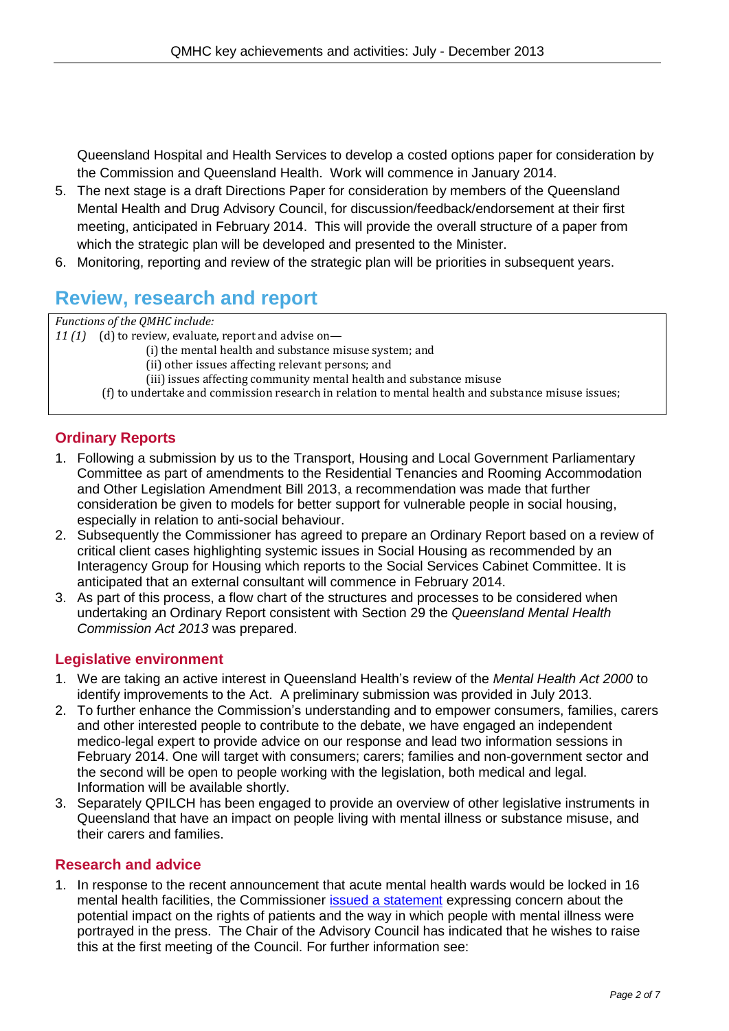Queensland Hospital and Health Services to develop a costed options paper for consideration by the Commission and Queensland Health. Work will commence in January 2014.

- 5. The next stage is a draft Directions Paper for consideration by members of the Queensland Mental Health and Drug Advisory Council, for discussion/feedback/endorsement at their first meeting, anticipated in February 2014. This will provide the overall structure of a paper from which the strategic plan will be developed and presented to the Minister.
- 6. Monitoring, reporting and review of the strategic plan will be priorities in subsequent years.

# **Review, research and report**

*Functions of the QMHC include:*

*11 (1)* (d) to review, evaluate, report and advise on—

(i) the mental health and substance misuse system; and

(ii) other issues affecting relevant persons; and

(iii) issues affecting community mental health and substance misuse

(f) to undertake and commission research in relation to mental health and substance misuse issues;

## **Ordinary Reports**

- 1. Following a submission by us to the Transport, Housing and Local Government Parliamentary Committee as part of amendments to the Residential Tenancies and Rooming Accommodation and Other Legislation Amendment Bill 2013, a recommendation was made that further consideration be given to models for better support for vulnerable people in social housing, especially in relation to anti-social behaviour.
- 2. Subsequently the Commissioner has agreed to prepare an Ordinary Report based on a review of critical client cases highlighting systemic issues in Social Housing as recommended by an Interagency Group for Housing which reports to the Social Services Cabinet Committee. It is anticipated that an external consultant will commence in February 2014.
- 3. As part of this process, a flow chart of the structures and processes to be considered when undertaking an Ordinary Report consistent with Section 29 the *Queensland Mental Health Commission Act 2013* was prepared.

## **Legislative environment**

- 1. We are taking an active interest in Queensland Health's review of the *Mental Health Act 2000* to identify improvements to the Act. A preliminary submission was provided in July 2013.
- 2. To further enhance the Commission's understanding and to empower consumers, families, carers and other interested people to contribute to the debate, we have engaged an independent medico-legal expert to provide advice on our response and lead two information sessions in February 2014. One will target with consumers; carers; families and non-government sector and the second will be open to people working with the legislation, both medical and legal. Information will be available shortly.
- 3. Separately QPILCH has been engaged to provide an overview of other legislative instruments in Queensland that have an impact on people living with mental illness or substance misuse, and their carers and families.

#### **Research and advice**

1. In response to the recent announcement that acute mental health wards would be locked in 16 mental health facilities, the Commissioner issued [a statement](http://www.qmhc.qld.gov.au/securing-inpatient-facilities/) expressing concern about the potential impact on the rights of patients and the way in which people with mental illness were portrayed in the press. The Chair of the Advisory Council has indicated that he wishes to raise this at the first meeting of the Council. For further information see: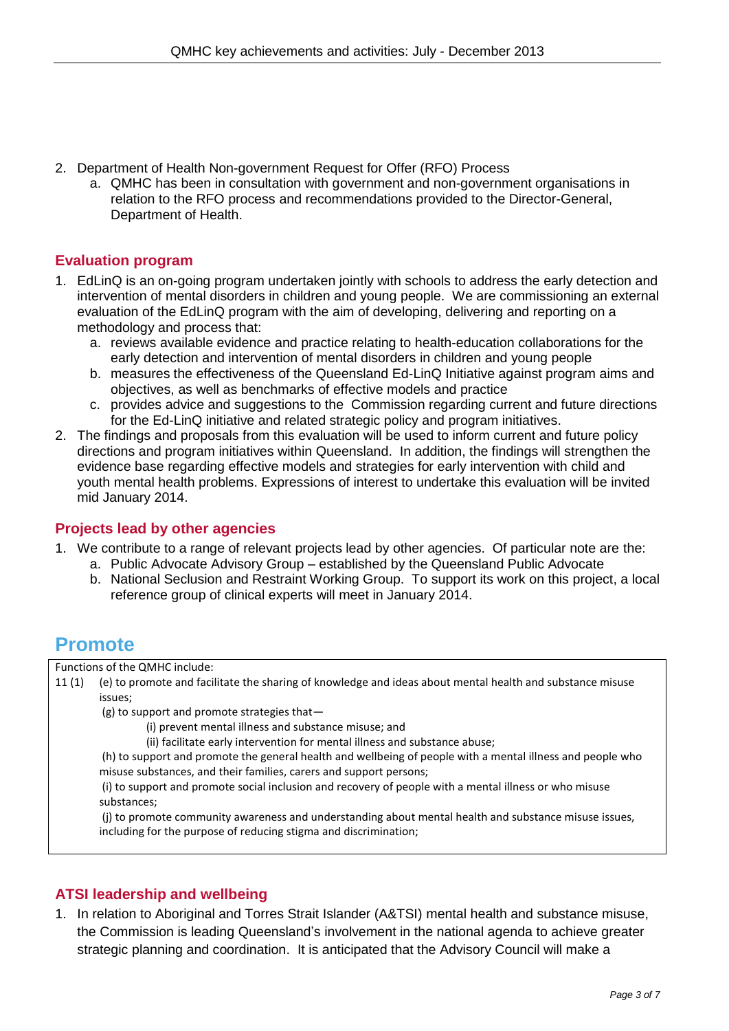- 2. Department of Health Non-government Request for Offer (RFO) Process
	- a. QMHC has been in consultation with government and non-government organisations in relation to the RFO process and recommendations provided to the Director-General, Department of Health.

#### **Evaluation program**

- 1. EdLinQ is an on-going program undertaken jointly with schools to address the early detection and intervention of mental disorders in children and young people. We are commissioning an external evaluation of the EdLinQ program with the aim of developing, delivering and reporting on a methodology and process that:
	- a. reviews available evidence and practice relating to health-education collaborations for the early detection and intervention of mental disorders in children and young people
	- b. measures the effectiveness of the Queensland Ed-LinQ Initiative against program aims and objectives, as well as benchmarks of effective models and practice
	- c. provides advice and suggestions to the Commission regarding current and future directions for the Ed-LinQ initiative and related strategic policy and program initiatives.
- 2. The findings and proposals from this evaluation will be used to inform current and future policy directions and program initiatives within Queensland. In addition, the findings will strengthen the evidence base regarding effective models and strategies for early intervention with child and youth mental health problems. Expressions of interest to undertake this evaluation will be invited mid January 2014.

#### **Projects lead by other agencies**

- 1. We contribute to a range of relevant projects lead by other agencies. Of particular note are the:
	- a. Public Advocate Advisory Group established by the Queensland Public Advocate
	- b. National Seclusion and Restraint Working Group. To support its work on this project, a local reference group of clinical experts will meet in January 2014.

# **Promote**

Functions of the QMHC include:

11 (1) (e) to promote and facilitate the sharing of knowledge and ideas about mental health and substance misuse issues;

(g) to support and promote strategies that—

(i) prevent mental illness and substance misuse; and

(ii) facilitate early intervention for mental illness and substance abuse;

(h) to support and promote the general health and wellbeing of people with a mental illness and people who misuse substances, and their families, carers and support persons;

(i) to support and promote social inclusion and recovery of people with a mental illness or who misuse substances;

(j) to promote community awareness and understanding about mental health and substance misuse issues, including for the purpose of reducing stigma and discrimination;

## **ATSI leadership and wellbeing**

1. In relation to Aboriginal and Torres Strait Islander (A&TSI) mental health and substance misuse, the Commission is leading Queensland's involvement in the national agenda to achieve greater strategic planning and coordination. It is anticipated that the Advisory Council will make a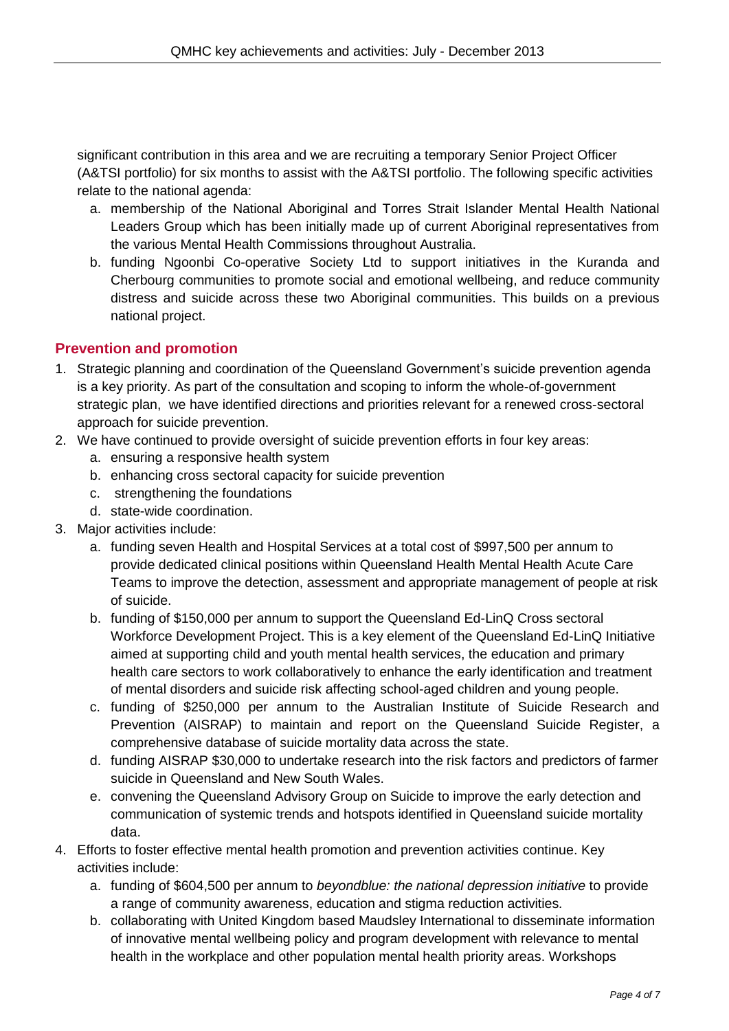significant contribution in this area and we are recruiting a temporary Senior Project Officer (A&TSI portfolio) for six months to assist with the A&TSI portfolio. The following specific activities relate to the national agenda:

- a. membership of the National Aboriginal and Torres Strait Islander Mental Health National Leaders Group which has been initially made up of current Aboriginal representatives from the various Mental Health Commissions throughout Australia.
- b. funding Ngoonbi Co-operative Society Ltd to support initiatives in the Kuranda and Cherbourg communities to promote social and emotional wellbeing, and reduce community distress and suicide across these two Aboriginal communities. This builds on a previous national project.

## **Prevention and promotion**

- 1. Strategic planning and coordination of the Queensland Government's suicide prevention agenda is a key priority. As part of the consultation and scoping to inform the whole-of-government strategic plan, we have identified directions and priorities relevant for a renewed cross-sectoral approach for suicide prevention.
- 2. We have continued to provide oversight of suicide prevention efforts in four key areas:
	- a. ensuring a responsive health system
	- b. enhancing cross sectoral capacity for suicide prevention
	- c. strengthening the foundations
	- d. state-wide coordination.
- 3. Major activities include:
	- a. funding seven Health and Hospital Services at a total cost of \$997,500 per annum to provide dedicated clinical positions within Queensland Health Mental Health Acute Care Teams to improve the detection, assessment and appropriate management of people at risk of suicide.
	- b. funding of \$150,000 per annum to support the Queensland Ed-LinQ Cross sectoral Workforce Development Project. This is a key element of the Queensland Ed-LinQ Initiative aimed at supporting child and youth mental health services, the education and primary health care sectors to work collaboratively to enhance the early identification and treatment of mental disorders and suicide risk affecting school-aged children and young people.
	- c. funding of \$250,000 per annum to the Australian Institute of Suicide Research and Prevention (AISRAP) to maintain and report on the Queensland Suicide Register, a comprehensive database of suicide mortality data across the state.
	- d. funding AISRAP \$30,000 to undertake research into the risk factors and predictors of farmer suicide in Queensland and New South Wales.
	- e. convening the Queensland Advisory Group on Suicide to improve the early detection and communication of systemic trends and hotspots identified in Queensland suicide mortality data.
- 4. Efforts to foster effective mental health promotion and prevention activities continue. Key activities include:
	- a. funding of \$604,500 per annum to *beyondblue: the national depression initiative* to provide a range of community awareness, education and stigma reduction activities*.*
	- b. collaborating with United Kingdom based Maudsley International to disseminate information of innovative mental wellbeing policy and program development with relevance to mental health in the workplace and other population mental health priority areas. Workshops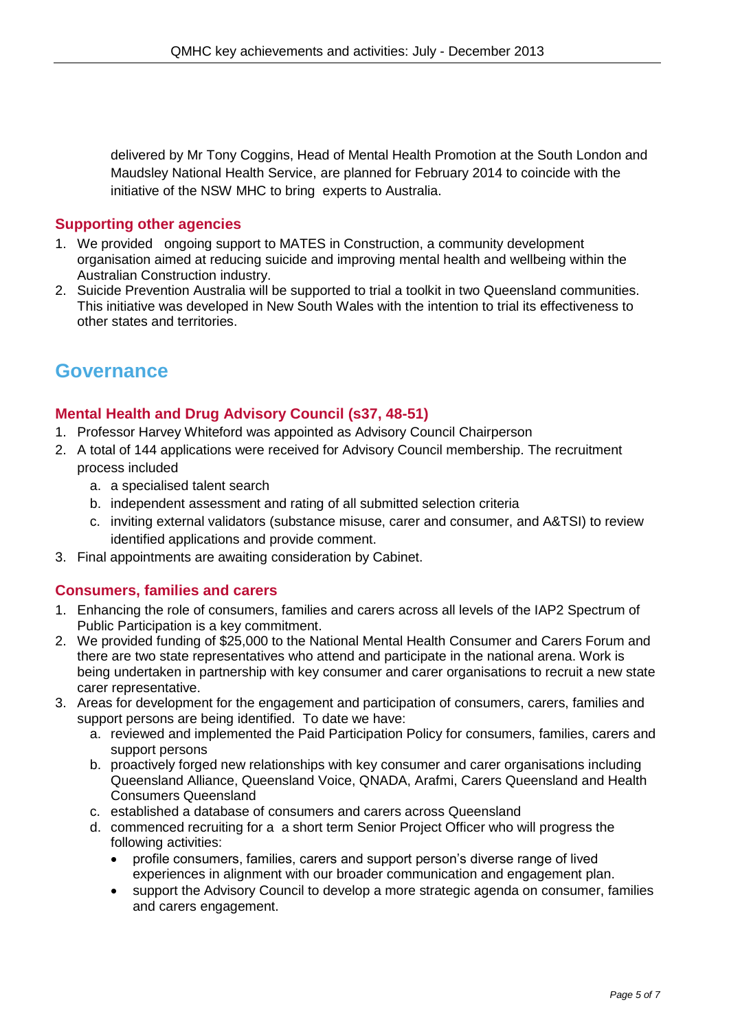delivered by Mr Tony Coggins, Head of Mental Health Promotion at the South London and Maudsley National Health Service, are planned for February 2014 to coincide with the initiative of the NSW MHC to bring experts to Australia.

#### **Supporting other agencies**

- 1. We provided ongoing support to MATES in Construction, a community development organisation aimed at reducing suicide and improving mental health and wellbeing within the Australian Construction industry.
- 2. Suicide Prevention Australia will be supported to trial a toolkit in two Queensland communities. This initiative was developed in New South Wales with the intention to trial its effectiveness to other states and territories.

# **Governance**

## **Mental Health and Drug Advisory Council (s37, 48-51)**

- 1. Professor Harvey Whiteford was appointed as Advisory Council Chairperson
- 2. A total of 144 applications were received for Advisory Council membership. The recruitment process included
	- a. a specialised talent search
	- b. independent assessment and rating of all submitted selection criteria
	- c. inviting external validators (substance misuse, carer and consumer, and A&TSI) to review identified applications and provide comment.
- 3. Final appointments are awaiting consideration by Cabinet.

## **Consumers, families and carers**

- 1. Enhancing the role of consumers, families and carers across all levels of the IAP2 Spectrum of Public Participation is a key commitment.
- 2. We provided funding of \$25,000 to the National Mental Health Consumer and Carers Forum and there are two state representatives who attend and participate in the national arena. Work is being undertaken in partnership with key consumer and carer organisations to recruit a new state carer representative.
- 3. Areas for development for the engagement and participation of consumers, carers, families and support persons are being identified. To date we have:
	- a. reviewed and implemented the Paid Participation Policy for consumers, families, carers and support persons
	- b. proactively forged new relationships with key consumer and carer organisations including Queensland Alliance, Queensland Voice, QNADA, Arafmi, Carers Queensland and Health Consumers Queensland
	- c. established a database of consumers and carers across Queensland
	- d. commenced recruiting for a a short term Senior Project Officer who will progress the following activities:
		- profile consumers, families, carers and support person's diverse range of lived experiences in alignment with our broader communication and engagement plan.
		- support the Advisory Council to develop a more strategic agenda on consumer, families and carers engagement.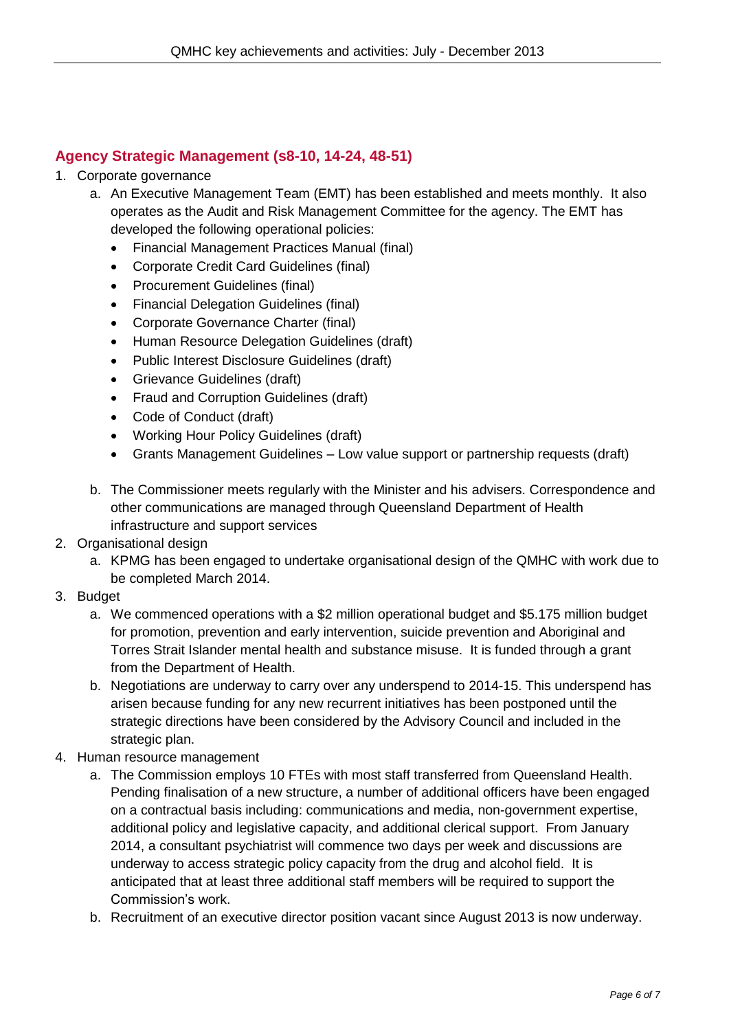# **Agency Strategic Management (s8-10, 14-24, 48-51)**

- 1. Corporate governance
	- a. An Executive Management Team (EMT) has been established and meets monthly. It also operates as the Audit and Risk Management Committee for the agency. The EMT has developed the following operational policies:
		- Financial Management Practices Manual (final)
		- Corporate Credit Card Guidelines (final)
		- Procurement Guidelines (final)
		- Financial Delegation Guidelines (final)
		- Corporate Governance Charter (final)
		- Human Resource Delegation Guidelines (draft)
		- Public Interest Disclosure Guidelines (draft)
		- Grievance Guidelines (draft)
		- Fraud and Corruption Guidelines (draft)
		- Code of Conduct (draft)
		- Working Hour Policy Guidelines (draft)
		- Grants Management Guidelines Low value support or partnership requests (draft)
	- b. The Commissioner meets regularly with the Minister and his advisers. Correspondence and other communications are managed through Queensland Department of Health infrastructure and support services
- 2. Organisational design
	- a. KPMG has been engaged to undertake organisational design of the QMHC with work due to be completed March 2014.
- 3. Budget
	- a. We commenced operations with a \$2 million operational budget and \$5.175 million budget for promotion, prevention and early intervention, suicide prevention and Aboriginal and Torres Strait Islander mental health and substance misuse. It is funded through a grant from the Department of Health.
	- b. Negotiations are underway to carry over any underspend to 2014-15. This underspend has arisen because funding for any new recurrent initiatives has been postponed until the strategic directions have been considered by the Advisory Council and included in the strategic plan.
- 4. Human resource management
	- a. The Commission employs 10 FTEs with most staff transferred from Queensland Health. Pending finalisation of a new structure, a number of additional officers have been engaged on a contractual basis including: communications and media, non-government expertise, additional policy and legislative capacity, and additional clerical support. From January 2014, a consultant psychiatrist will commence two days per week and discussions are underway to access strategic policy capacity from the drug and alcohol field. It is anticipated that at least three additional staff members will be required to support the Commission's work.
	- b. Recruitment of an executive director position vacant since August 2013 is now underway.